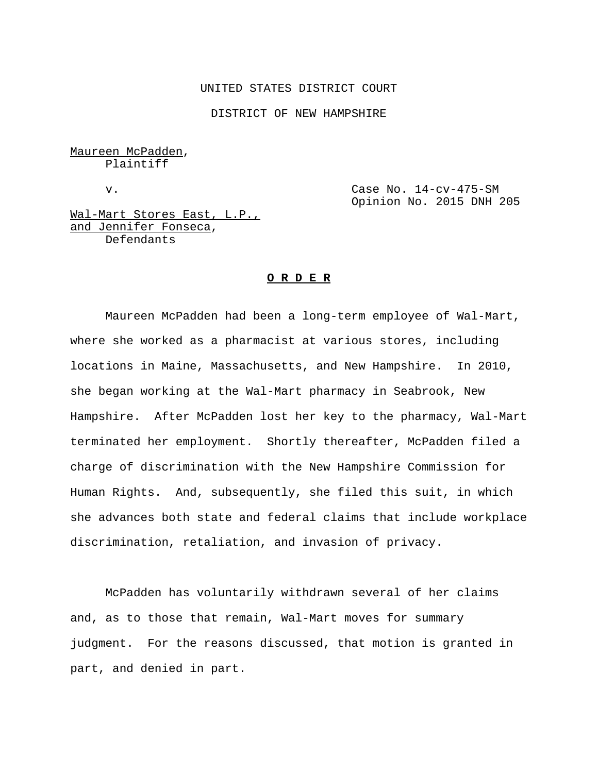#### UNITED STATES DISTRICT COURT

DISTRICT OF NEW HAMPSHIRE

Maureen McPadden, Plaintiff

v. Case No. 14-cv-475-SM Opinion No. 2015 DNH 205

Wal-Mart Stores East, L.P., and Jennifer Fonseca, Defendants

#### **O R D E R**

Maureen McPadden had been a long-term employee of Wal-Mart, where she worked as a pharmacist at various stores, including locations in Maine, Massachusetts, and New Hampshire. In 2010, she began working at the Wal-Mart pharmacy in Seabrook, New Hampshire. After McPadden lost her key to the pharmacy, Wal-Mart terminated her employment. Shortly thereafter, McPadden filed a charge of discrimination with the New Hampshire Commission for Human Rights. And, subsequently, she filed this suit, in which she advances both state and federal claims that include workplace discrimination, retaliation, and invasion of privacy.

McPadden has voluntarily withdrawn several of her claims and, as to those that remain, Wal-Mart moves for summary judgment. For the reasons discussed, that motion is granted in part, and denied in part.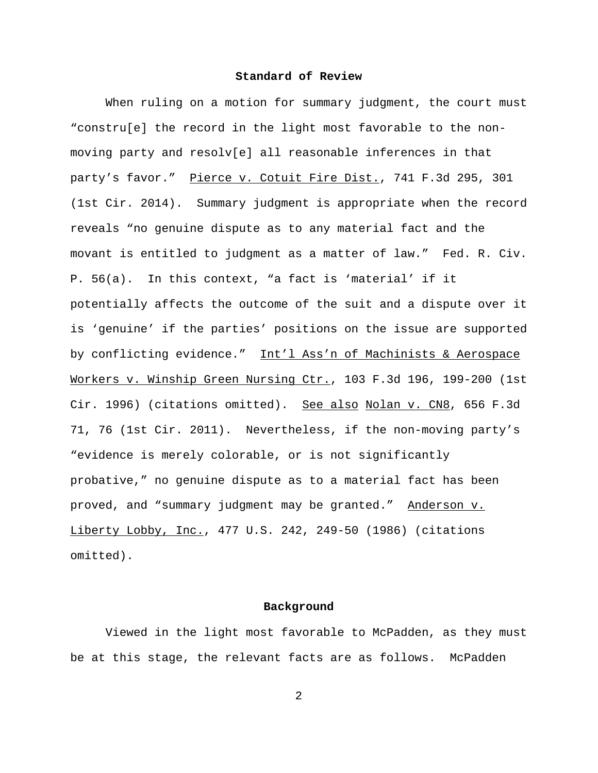### **Standard of Review**

When ruling on a motion for summary judgment, the court must "constru[e] the record in the light most favorable to the nonmoving party and resolv[e] all reasonable inferences in that party's favor." Pierce v. Cotuit Fire Dist., 741 F.3d 295, 301 (1st Cir. 2014). Summary judgment is appropriate when the record reveals "no genuine dispute as to any material fact and the movant is entitled to judgment as a matter of law." Fed. R. Civ. P. 56(a). In this context, "a fact is 'material' if it potentially affects the outcome of the suit and a dispute over it is 'genuine' if the parties' positions on the issue are supported by conflicting evidence." Int'l Ass'n of Machinists & Aerospace Workers v. Winship Green Nursing Ctr., 103 F.3d 196, 199-200 (1st Cir. 1996) (citations omitted). See also Nolan v. CN8, 656 F.3d 71, 76 (1st Cir. 2011). Nevertheless, if the non-moving party's "evidence is merely colorable, or is not significantly probative," no genuine dispute as to a material fact has been proved, and "summary judgment may be granted." Anderson v. Liberty Lobby, Inc., 477 U.S. 242, 249-50 (1986) (citations omitted).

#### **Background**

Viewed in the light most favorable to McPadden, as they must be at this stage, the relevant facts are as follows. McPadden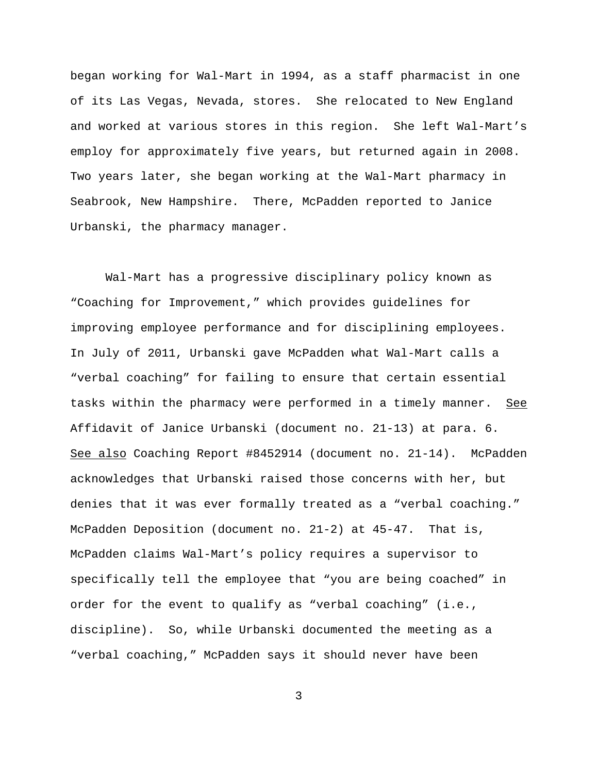began working for Wal-Mart in 1994, as a staff pharmacist in one of its Las Vegas, Nevada, stores. She relocated to New England and worked at various stores in this region. She left Wal-Mart's employ for approximately five years, but returned again in 2008. Two years later, she began working at the Wal-Mart pharmacy in Seabrook, New Hampshire. There, McPadden reported to Janice Urbanski, the pharmacy manager.

Wal-Mart has a progressive disciplinary policy known as "Coaching for Improvement," which provides guidelines for improving employee performance and for disciplining employees. In July of 2011, Urbanski gave McPadden what Wal-Mart calls a "verbal coaching" for failing to ensure that certain essential tasks within the pharmacy were performed in a timely manner. See Affidavit of Janice Urbanski (document no. 21-13) at para. 6. See also Coaching Report #8452914 (document no. 21-14). McPadden acknowledges that Urbanski raised those concerns with her, but denies that it was ever formally treated as a "verbal coaching." McPadden Deposition (document no. 21-2) at 45-47. That is, McPadden claims Wal-Mart's policy requires a supervisor to specifically tell the employee that "you are being coached" in order for the event to qualify as "verbal coaching" (i.e., discipline). So, while Urbanski documented the meeting as a "verbal coaching," McPadden says it should never have been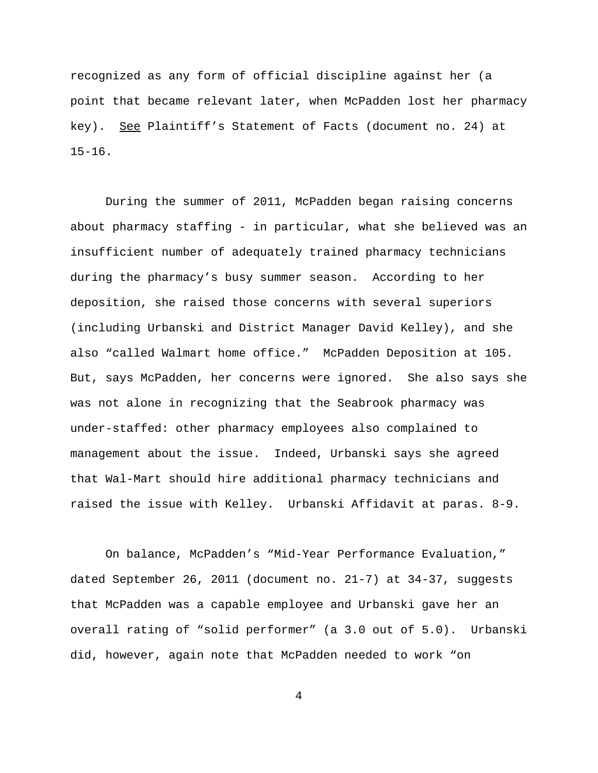recognized as any form of official discipline against her (a point that became relevant later, when McPadden lost her pharmacy key). See Plaintiff's Statement of Facts (document no. 24) at 15-16.

During the summer of 2011, McPadden began raising concerns about pharmacy staffing - in particular, what she believed was an insufficient number of adequately trained pharmacy technicians during the pharmacy's busy summer season. According to her deposition, she raised those concerns with several superiors (including Urbanski and District Manager David Kelley), and she also "called Walmart home office." McPadden Deposition at 105. But, says McPadden, her concerns were ignored. She also says she was not alone in recognizing that the Seabrook pharmacy was under-staffed: other pharmacy employees also complained to management about the issue. Indeed, Urbanski says she agreed that Wal-Mart should hire additional pharmacy technicians and raised the issue with Kelley. Urbanski Affidavit at paras. 8-9.

On balance, McPadden's "Mid-Year Performance Evaluation," dated September 26, 2011 (document no. 21-7) at 34-37, suggests that McPadden was a capable employee and Urbanski gave her an overall rating of "solid performer" (a 3.0 out of 5.0). Urbanski did, however, again note that McPadden needed to work "on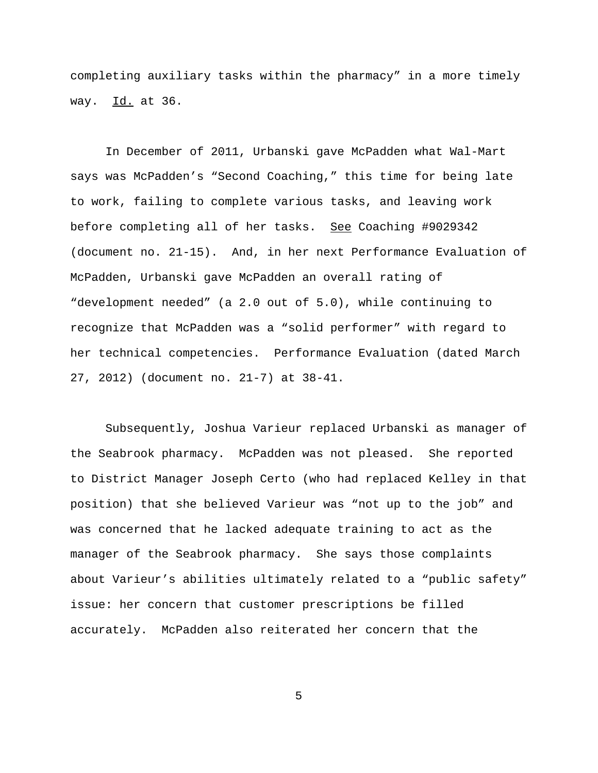completing auxiliary tasks within the pharmacy" in a more timely way. Id. at 36.

In December of 2011, Urbanski gave McPadden what Wal-Mart says was McPadden's "Second Coaching," this time for being late to work, failing to complete various tasks, and leaving work before completing all of her tasks. See Coaching #9029342 (document no. 21-15). And, in her next Performance Evaluation of McPadden, Urbanski gave McPadden an overall rating of "development needed" (a 2.0 out of 5.0), while continuing to recognize that McPadden was a "solid performer" with regard to her technical competencies. Performance Evaluation (dated March 27, 2012) (document no. 21-7) at 38-41.

Subsequently, Joshua Varieur replaced Urbanski as manager of the Seabrook pharmacy. McPadden was not pleased. She reported to District Manager Joseph Certo (who had replaced Kelley in that position) that she believed Varieur was "not up to the job" and was concerned that he lacked adequate training to act as the manager of the Seabrook pharmacy. She says those complaints about Varieur's abilities ultimately related to a "public safety" issue: her concern that customer prescriptions be filled accurately. McPadden also reiterated her concern that the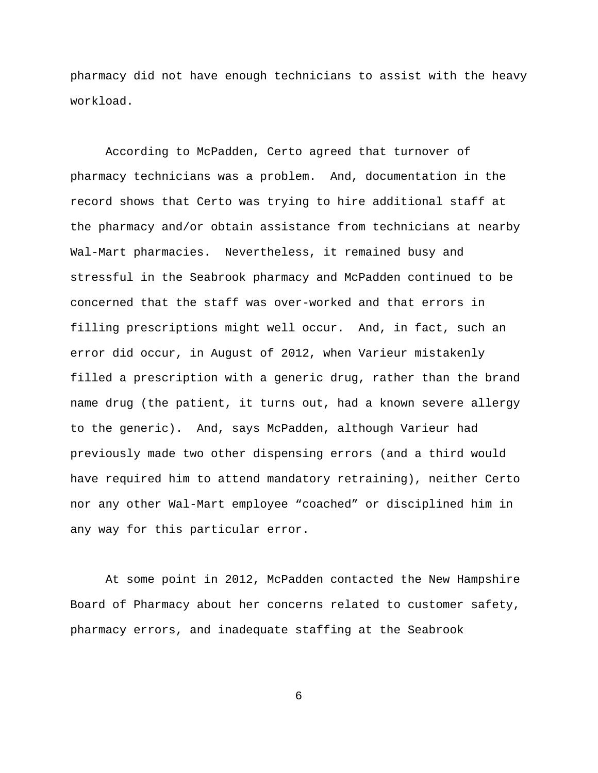pharmacy did not have enough technicians to assist with the heavy workload.

According to McPadden, Certo agreed that turnover of pharmacy technicians was a problem. And, documentation in the record shows that Certo was trying to hire additional staff at the pharmacy and/or obtain assistance from technicians at nearby Wal-Mart pharmacies. Nevertheless, it remained busy and stressful in the Seabrook pharmacy and McPadden continued to be concerned that the staff was over-worked and that errors in filling prescriptions might well occur. And, in fact, such an error did occur, in August of 2012, when Varieur mistakenly filled a prescription with a generic drug, rather than the brand name drug (the patient, it turns out, had a known severe allergy to the generic). And, says McPadden, although Varieur had previously made two other dispensing errors (and a third would have required him to attend mandatory retraining), neither Certo nor any other Wal-Mart employee "coached" or disciplined him in any way for this particular error.

At some point in 2012, McPadden contacted the New Hampshire Board of Pharmacy about her concerns related to customer safety, pharmacy errors, and inadequate staffing at the Seabrook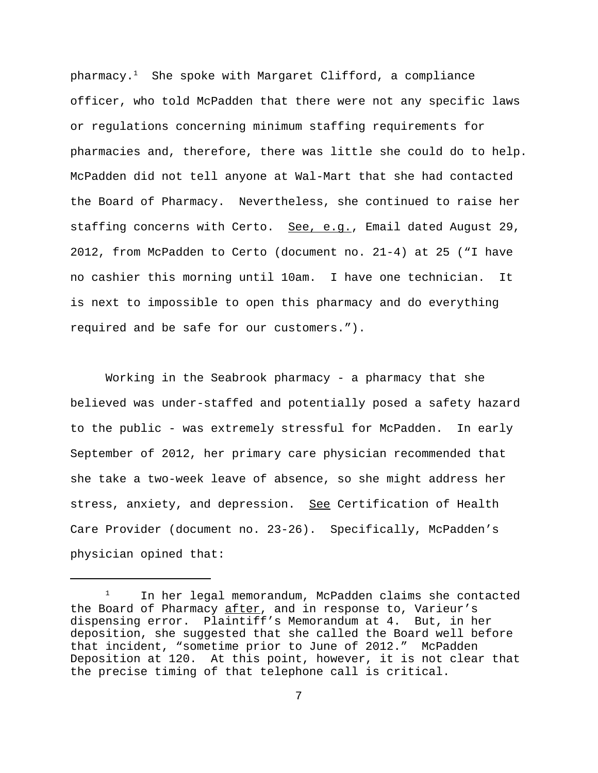$pharmacy.<sup>1</sup>$  She spoke with Margaret Clifford, a compliance officer, who told McPadden that there were not any specific laws or regulations concerning minimum staffing requirements for pharmacies and, therefore, there was little she could do to help. McPadden did not tell anyone at Wal-Mart that she had contacted the Board of Pharmacy. Nevertheless, she continued to raise her staffing concerns with Certo. See, e.g., Email dated August 29, 2012, from McPadden to Certo (document no. 21-4) at 25 ("I have no cashier this morning until 10am. I have one technician. It is next to impossible to open this pharmacy and do everything required and be safe for our customers.").

Working in the Seabrook pharmacy - a pharmacy that she believed was under-staffed and potentially posed a safety hazard to the public - was extremely stressful for McPadden. In early September of 2012, her primary care physician recommended that she take a two-week leave of absence, so she might address her stress, anxiety, and depression. See Certification of Health Care Provider (document no. 23-26). Specifically, McPadden's physician opined that:

<sup>&</sup>lt;sup>1</sup> In her legal memorandum, McPadden claims she contacted the Board of Pharmacy after, and in response to, Varieur's dispensing error. Plaintiff's Memorandum at 4. But, in her deposition, she suggested that she called the Board well before that incident, "sometime prior to June of 2012." McPadden Deposition at 120. At this point, however, it is not clear that the precise timing of that telephone call is critical.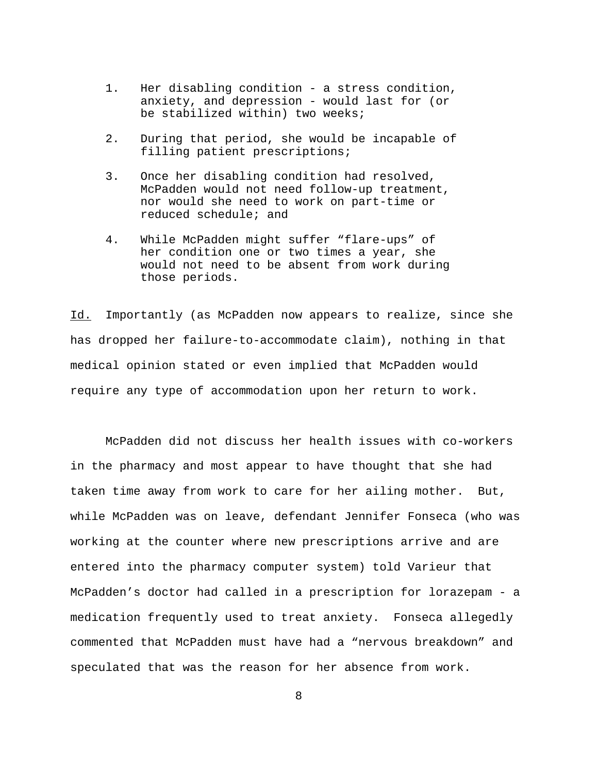- 1. Her disabling condition a stress condition, anxiety, and depression - would last for (or be stabilized within) two weeks;
- 2. During that period, she would be incapable of filling patient prescriptions;
- 3. Once her disabling condition had resolved, McPadden would not need follow-up treatment, nor would she need to work on part-time or reduced schedule; and
- 4. While McPadden might suffer "flare-ups" of her condition one or two times a year, she would not need to be absent from work during those periods.

Id. Importantly (as McPadden now appears to realize, since she has dropped her failure-to-accommodate claim), nothing in that medical opinion stated or even implied that McPadden would require any type of accommodation upon her return to work.

McPadden did not discuss her health issues with co-workers in the pharmacy and most appear to have thought that she had taken time away from work to care for her ailing mother. But, while McPadden was on leave, defendant Jennifer Fonseca (who was working at the counter where new prescriptions arrive and are entered into the pharmacy computer system) told Varieur that McPadden's doctor had called in a prescription for lorazepam - a medication frequently used to treat anxiety. Fonseca allegedly commented that McPadden must have had a "nervous breakdown" and speculated that was the reason for her absence from work.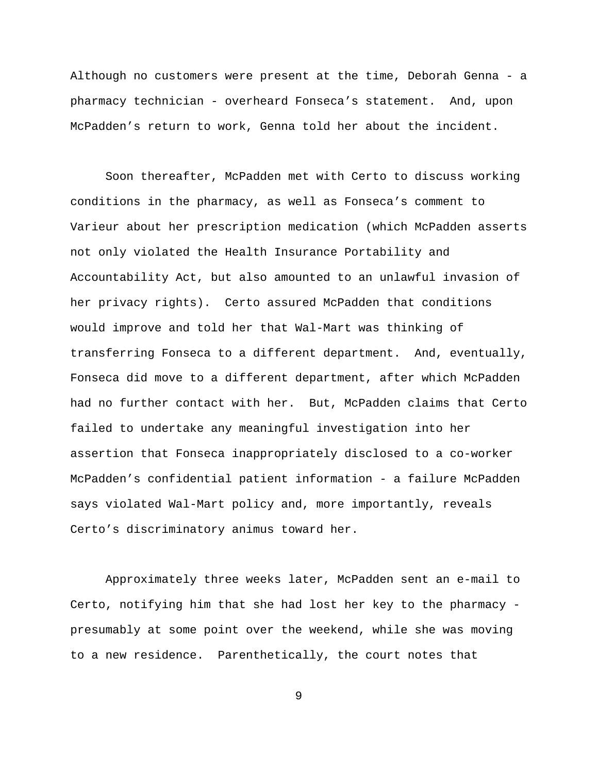Although no customers were present at the time, Deborah Genna - a pharmacy technician - overheard Fonseca's statement. And, upon McPadden's return to work, Genna told her about the incident.

Soon thereafter, McPadden met with Certo to discuss working conditions in the pharmacy, as well as Fonseca's comment to Varieur about her prescription medication (which McPadden asserts not only violated the Health Insurance Portability and Accountability Act, but also amounted to an unlawful invasion of her privacy rights). Certo assured McPadden that conditions would improve and told her that Wal-Mart was thinking of transferring Fonseca to a different department. And, eventually, Fonseca did move to a different department, after which McPadden had no further contact with her. But, McPadden claims that Certo failed to undertake any meaningful investigation into her assertion that Fonseca inappropriately disclosed to a co-worker McPadden's confidential patient information - a failure McPadden says violated Wal-Mart policy and, more importantly, reveals Certo's discriminatory animus toward her.

Approximately three weeks later, McPadden sent an e-mail to Certo, notifying him that she had lost her key to the pharmacy presumably at some point over the weekend, while she was moving to a new residence. Parenthetically, the court notes that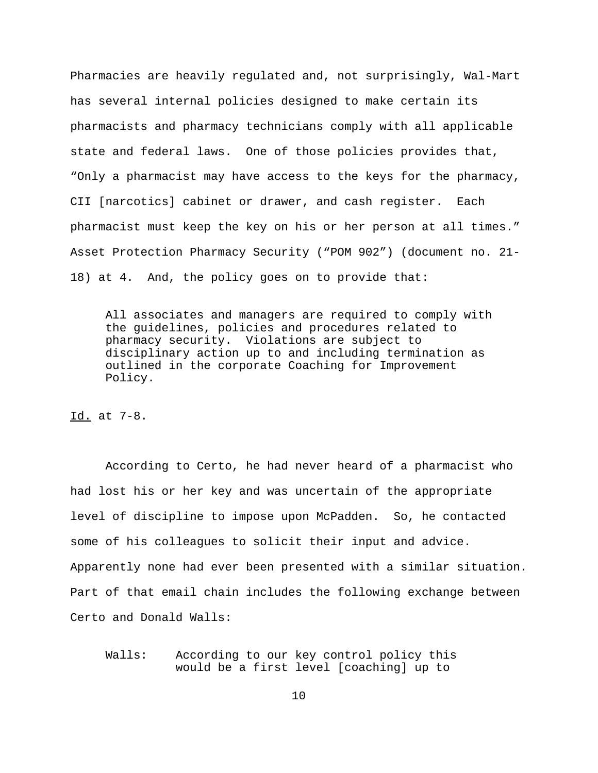Pharmacies are heavily regulated and, not surprisingly, Wal-Mart has several internal policies designed to make certain its pharmacists and pharmacy technicians comply with all applicable state and federal laws. One of those policies provides that, "Only a pharmacist may have access to the keys for the pharmacy, CII [narcotics] cabinet or drawer, and cash register. Each pharmacist must keep the key on his or her person at all times." Asset Protection Pharmacy Security ("POM 902") (document no. 21- 18) at 4. And, the policy goes on to provide that:

All associates and managers are required to comply with the guidelines, policies and procedures related to pharmacy security. Violations are subject to disciplinary action up to and including termination as outlined in the corporate Coaching for Improvement Policy.

Id. at 7-8.

According to Certo, he had never heard of a pharmacist who had lost his or her key and was uncertain of the appropriate level of discipline to impose upon McPadden. So, he contacted some of his colleagues to solicit their input and advice. Apparently none had ever been presented with a similar situation. Part of that email chain includes the following exchange between Certo and Donald Walls:

Walls: According to our key control policy this would be a first level [coaching] up to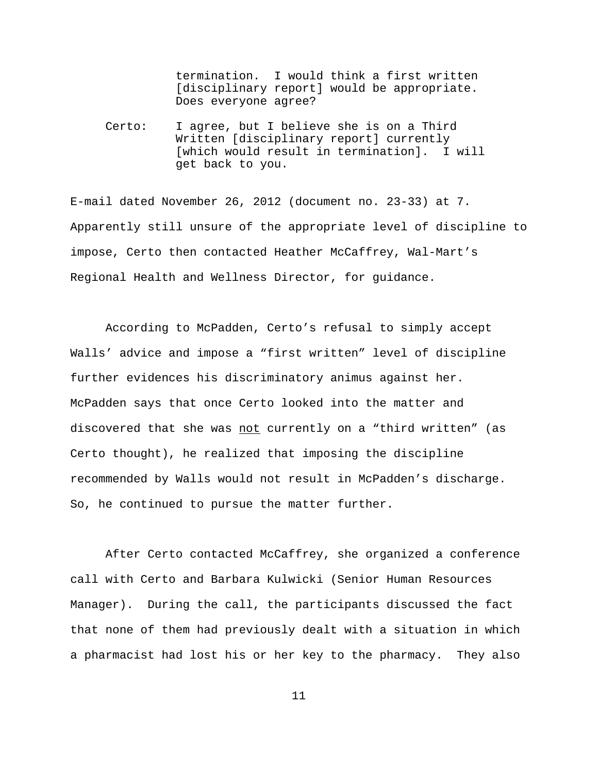termination. I would think a first written [disciplinary report] would be appropriate. Does everyone agree?

Certo: I agree, but I believe she is on a Third Written [disciplinary report] currently [which would result in termination]. I will get back to you.

E-mail dated November 26, 2012 (document no. 23-33) at 7. Apparently still unsure of the appropriate level of discipline to impose, Certo then contacted Heather McCaffrey, Wal-Mart's Regional Health and Wellness Director, for guidance.

According to McPadden, Certo's refusal to simply accept Walls' advice and impose a "first written" level of discipline further evidences his discriminatory animus against her. McPadden says that once Certo looked into the matter and discovered that she was not currently on a "third written" (as Certo thought), he realized that imposing the discipline recommended by Walls would not result in McPadden's discharge. So, he continued to pursue the matter further.

After Certo contacted McCaffrey, she organized a conference call with Certo and Barbara Kulwicki (Senior Human Resources Manager). During the call, the participants discussed the fact that none of them had previously dealt with a situation in which a pharmacist had lost his or her key to the pharmacy. They also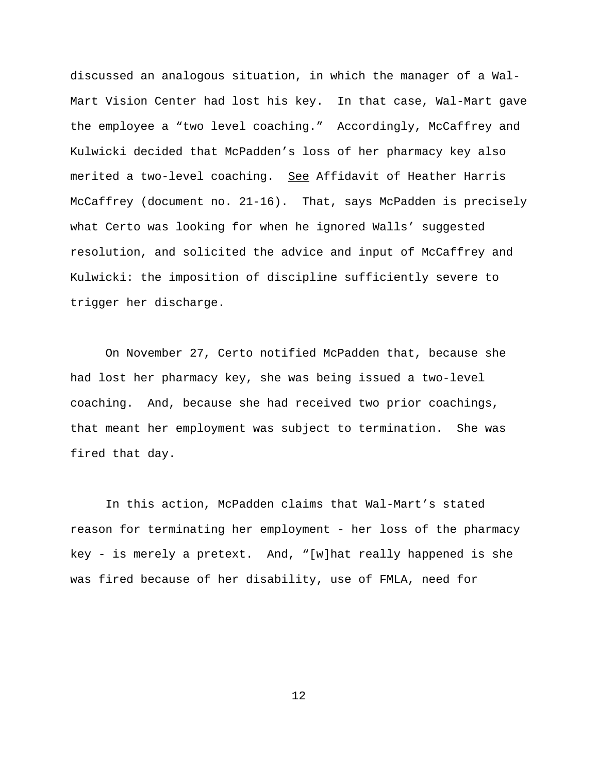discussed an analogous situation, in which the manager of a Wal-Mart Vision Center had lost his key. In that case, Wal-Mart gave the employee a "two level coaching." Accordingly, McCaffrey and Kulwicki decided that McPadden's loss of her pharmacy key also merited a two-level coaching. See Affidavit of Heather Harris McCaffrey (document no. 21-16). That, says McPadden is precisely what Certo was looking for when he ignored Walls' suggested resolution, and solicited the advice and input of McCaffrey and Kulwicki: the imposition of discipline sufficiently severe to trigger her discharge.

On November 27, Certo notified McPadden that, because she had lost her pharmacy key, she was being issued a two-level coaching. And, because she had received two prior coachings, that meant her employment was subject to termination. She was fired that day.

In this action, McPadden claims that Wal-Mart's stated reason for terminating her employment - her loss of the pharmacy key - is merely a pretext. And, "[w]hat really happened is she was fired because of her disability, use of FMLA, need for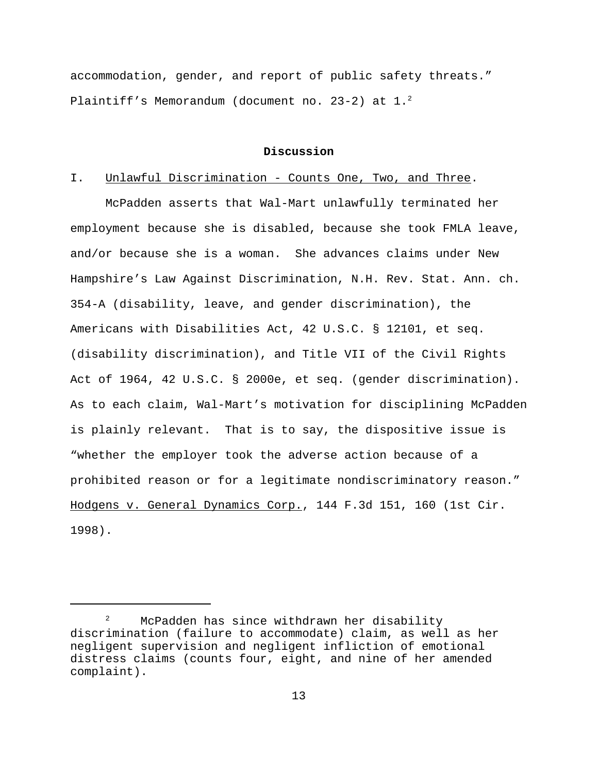accommodation, gender, and report of public safety threats." Plaintiff's Memorandum (document no. 23-2) at 1. $^{2}$ 

#### **Discussion**

#### I. Unlawful Discrimination - Counts One, Two, and Three.

McPadden asserts that Wal-Mart unlawfully terminated her employment because she is disabled, because she took FMLA leave, and/or because she is a woman. She advances claims under New Hampshire's Law Against Discrimination, N.H. Rev. Stat. Ann. ch. 354-A (disability, leave, and gender discrimination), the Americans with Disabilities Act, 42 U.S.C. § 12101, et seq. (disability discrimination), and Title VII of the Civil Rights Act of 1964, 42 U.S.C. § 2000e, et seq. (gender discrimination). As to each claim, Wal-Mart's motivation for disciplining McPadden is plainly relevant. That is to say, the dispositive issue is "whether the employer took the adverse action because of a prohibited reason or for a legitimate nondiscriminatory reason." Hodgens v. General Dynamics Corp., 144 F.3d 151, 160 (1st Cir. 1998).

McPadden has since withdrawn her disability discrimination (failure to accommodate) claim, as well as her negligent supervision and negligent infliction of emotional distress claims (counts four, eight, and nine of her amended complaint).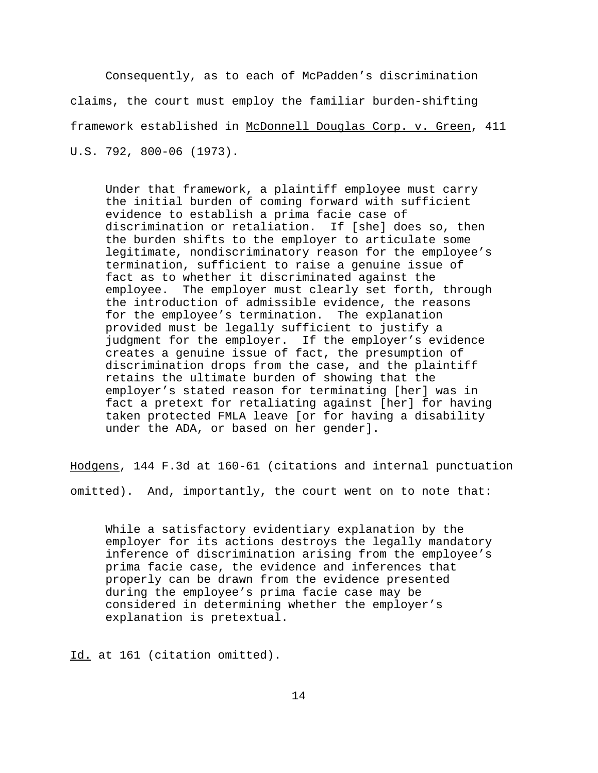Consequently, as to each of McPadden's discrimination claims, the court must employ the familiar burden-shifting framework established in McDonnell Douglas Corp. v. Green, 411 U.S. 792, 800-06 (1973).

Under that framework, a plaintiff employee must carry the initial burden of coming forward with sufficient evidence to establish a prima facie case of discrimination or retaliation. If [she] does so, then the burden shifts to the employer to articulate some legitimate, nondiscriminatory reason for the employee's termination, sufficient to raise a genuine issue of fact as to whether it discriminated against the employee. The employer must clearly set forth, through the introduction of admissible evidence, the reasons for the employee's termination. The explanation provided must be legally sufficient to justify a judgment for the employer. If the employer's evidence creates a genuine issue of fact, the presumption of discrimination drops from the case, and the plaintiff retains the ultimate burden of showing that the employer's stated reason for terminating [her] was in fact a pretext for retaliating against [her] for having taken protected FMLA leave [or for having a disability under the ADA, or based on her gender].

Hodgens, 144 F.3d at 160-61 (citations and internal punctuation omitted). And, importantly, the court went on to note that:

While a satisfactory evidentiary explanation by the employer for its actions destroys the legally mandatory inference of discrimination arising from the employee's prima facie case, the evidence and inferences that properly can be drawn from the evidence presented during the employee's prima facie case may be considered in determining whether the employer's explanation is pretextual.

Id. at 161 (citation omitted).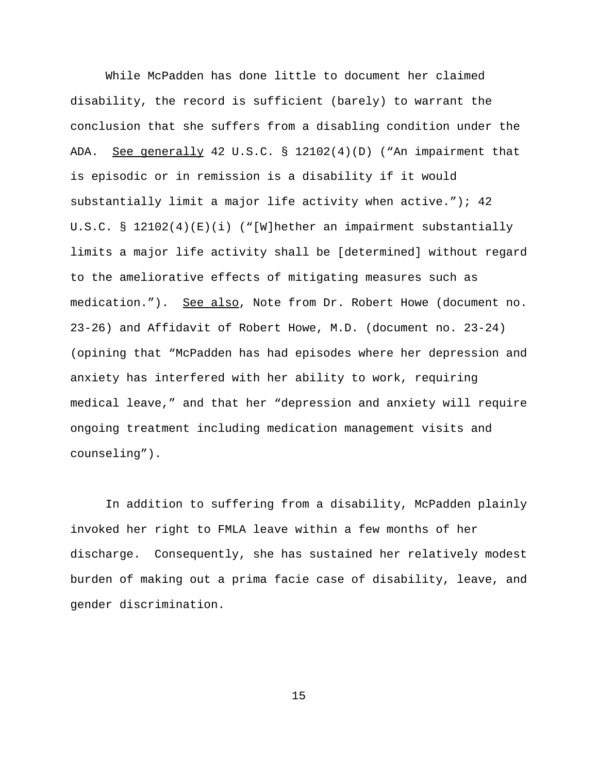While McPadden has done little to document her claimed disability, the record is sufficient (barely) to warrant the conclusion that she suffers from a disabling condition under the ADA. See generally 42 U.S.C. § 12102(4)(D) ("An impairment that is episodic or in remission is a disability if it would substantially limit a major life activity when active."); 42 U.S.C. § 12102(4)(E)(i) ("[W]hether an impairment substantially limits a major life activity shall be [determined] without regard to the ameliorative effects of mitigating measures such as medication."). See also, Note from Dr. Robert Howe (document no. 23-26) and Affidavit of Robert Howe, M.D. (document no. 23-24) (opining that "McPadden has had episodes where her depression and anxiety has interfered with her ability to work, requiring medical leave," and that her "depression and anxiety will require ongoing treatment including medication management visits and counseling").

In addition to suffering from a disability, McPadden plainly invoked her right to FMLA leave within a few months of her discharge. Consequently, she has sustained her relatively modest burden of making out a prima facie case of disability, leave, and gender discrimination.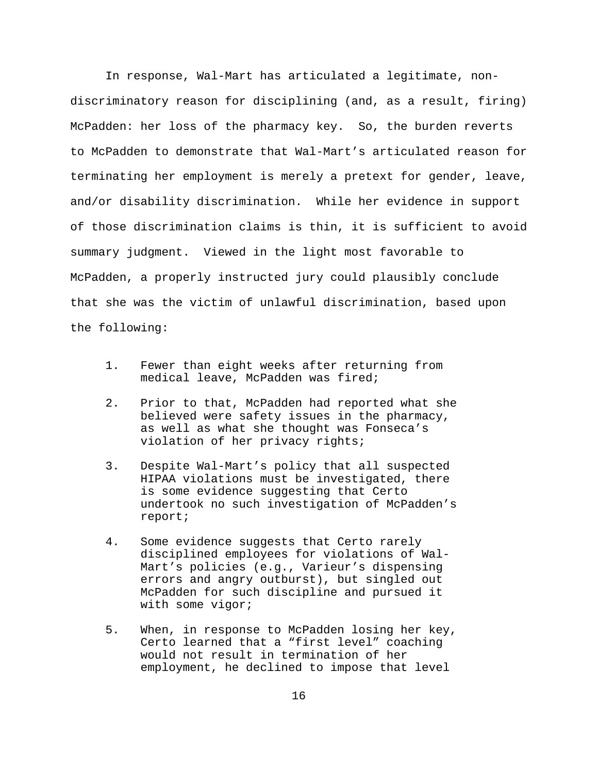In response, Wal-Mart has articulated a legitimate, nondiscriminatory reason for disciplining (and, as a result, firing) McPadden: her loss of the pharmacy key. So, the burden reverts to McPadden to demonstrate that Wal-Mart's articulated reason for terminating her employment is merely a pretext for gender, leave, and/or disability discrimination. While her evidence in support of those discrimination claims is thin, it is sufficient to avoid summary judgment. Viewed in the light most favorable to McPadden, a properly instructed jury could plausibly conclude that she was the victim of unlawful discrimination, based upon the following:

- 1. Fewer than eight weeks after returning from medical leave, McPadden was fired;
- 2. Prior to that, McPadden had reported what she believed were safety issues in the pharmacy, as well as what she thought was Fonseca's violation of her privacy rights;
- 3. Despite Wal-Mart's policy that all suspected HIPAA violations must be investigated, there is some evidence suggesting that Certo undertook no such investigation of McPadden's report;
- 4. Some evidence suggests that Certo rarely disciplined employees for violations of Wal-Mart's policies (e.g., Varieur's dispensing errors and angry outburst), but singled out McPadden for such discipline and pursued it with some vigor;
- 5. When, in response to McPadden losing her key, Certo learned that a "first level" coaching would not result in termination of her employment, he declined to impose that level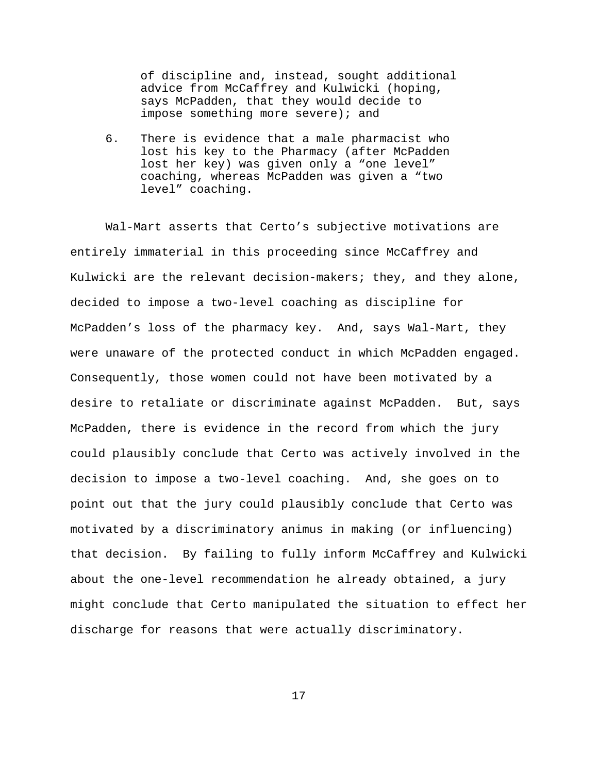of discipline and, instead, sought additional advice from McCaffrey and Kulwicki (hoping, says McPadden, that they would decide to impose something more severe); and

6. There is evidence that a male pharmacist who lost his key to the Pharmacy (after McPadden lost her key) was given only a "one level" coaching, whereas McPadden was given a "two level" coaching.

Wal-Mart asserts that Certo's subjective motivations are entirely immaterial in this proceeding since McCaffrey and Kulwicki are the relevant decision-makers; they, and they alone, decided to impose a two-level coaching as discipline for McPadden's loss of the pharmacy key. And, says Wal-Mart, they were unaware of the protected conduct in which McPadden engaged. Consequently, those women could not have been motivated by a desire to retaliate or discriminate against McPadden. But, says McPadden, there is evidence in the record from which the jury could plausibly conclude that Certo was actively involved in the decision to impose a two-level coaching. And, she goes on to point out that the jury could plausibly conclude that Certo was motivated by a discriminatory animus in making (or influencing) that decision. By failing to fully inform McCaffrey and Kulwicki about the one-level recommendation he already obtained, a jury might conclude that Certo manipulated the situation to effect her discharge for reasons that were actually discriminatory.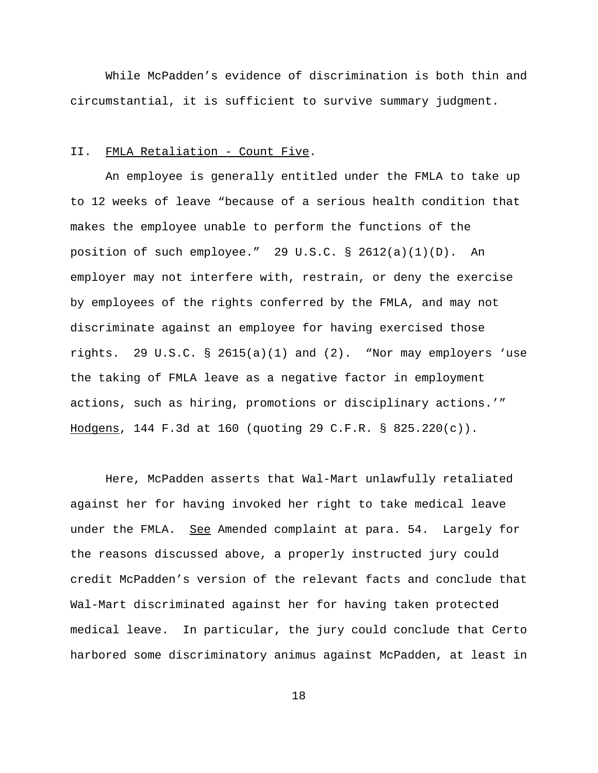While McPadden's evidence of discrimination is both thin and circumstantial, it is sufficient to survive summary judgment.

# II. FMLA Retaliation - Count Five.

An employee is generally entitled under the FMLA to take up to 12 weeks of leave "because of a serious health condition that makes the employee unable to perform the functions of the position of such employee." 29 U.S.C. § 2612(a)(1)(D). An employer may not interfere with, restrain, or deny the exercise by employees of the rights conferred by the FMLA, and may not discriminate against an employee for having exercised those rights. 29 U.S.C. § 2615(a)(1) and (2). "Nor may employers 'use the taking of FMLA leave as a negative factor in employment actions, such as hiring, promotions or disciplinary actions.'" Hodgens, 144 F.3d at 160 (quoting 29 C.F.R. § 825.220(c)).

Here, McPadden asserts that Wal-Mart unlawfully retaliated against her for having invoked her right to take medical leave under the FMLA. See Amended complaint at para. 54. Largely for the reasons discussed above, a properly instructed jury could credit McPadden's version of the relevant facts and conclude that Wal-Mart discriminated against her for having taken protected medical leave. In particular, the jury could conclude that Certo harbored some discriminatory animus against McPadden, at least in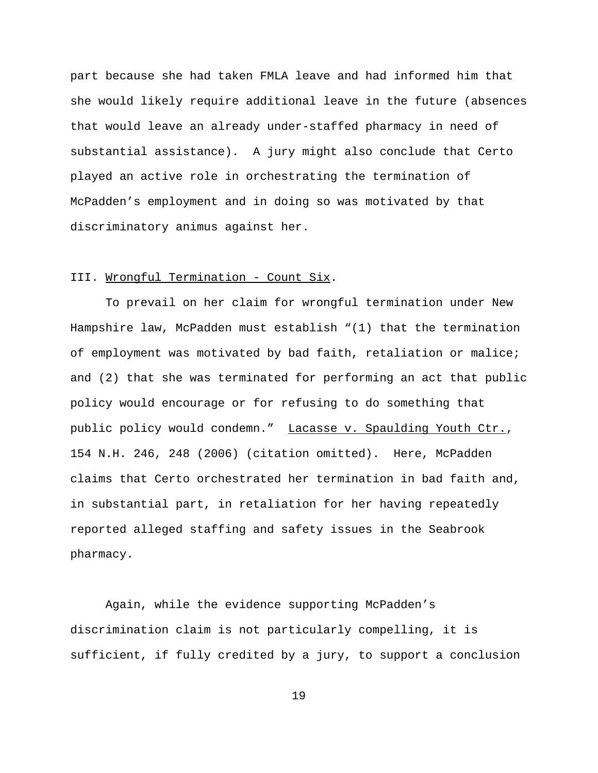part because she had taken FMLA leave and had informed him that she would likely require additional leave in the future (absences that would leave an already under-staffed pharmacy in need of substantial assistance). A jury might also conclude that Certo played an active role in orchestrating the termination of McPadden's employment and in doing so was motivated by that discriminatory animus against her.

### III. Wrongful Termination - Count Six.

To prevail on her claim for wrongful termination under New Hampshire law, McPadden must establish "(1) that the termination of employment was motivated by bad faith, retaliation or malice; and (2) that she was terminated for performing an act that public policy would encourage or for refusing to do something that public policy would condemn." Lacasse v. Spaulding Youth Ctr., 154 N.H. 246, 248 (2006) (citation omitted). Here, McPadden claims that Certo orchestrated her termination in bad faith and, in substantial part, in retaliation for her having repeatedly reported alleged staffing and safety issues in the Seabrook pharmacy.

Again, while the evidence supporting McPadden's discrimination claim is not particularly compelling, it is sufficient, if fully credited by a jury, to support a conclusion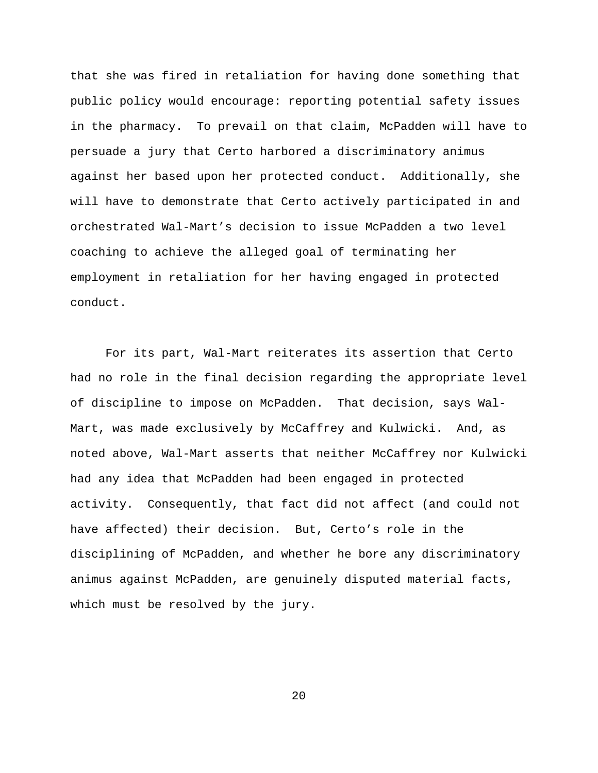that she was fired in retaliation for having done something that public policy would encourage: reporting potential safety issues in the pharmacy. To prevail on that claim, McPadden will have to persuade a jury that Certo harbored a discriminatory animus against her based upon her protected conduct. Additionally, she will have to demonstrate that Certo actively participated in and orchestrated Wal-Mart's decision to issue McPadden a two level coaching to achieve the alleged goal of terminating her employment in retaliation for her having engaged in protected conduct.

For its part, Wal-Mart reiterates its assertion that Certo had no role in the final decision regarding the appropriate level of discipline to impose on McPadden. That decision, says Wal-Mart, was made exclusively by McCaffrey and Kulwicki. And, as noted above, Wal-Mart asserts that neither McCaffrey nor Kulwicki had any idea that McPadden had been engaged in protected activity. Consequently, that fact did not affect (and could not have affected) their decision. But, Certo's role in the disciplining of McPadden, and whether he bore any discriminatory animus against McPadden, are genuinely disputed material facts, which must be resolved by the jury.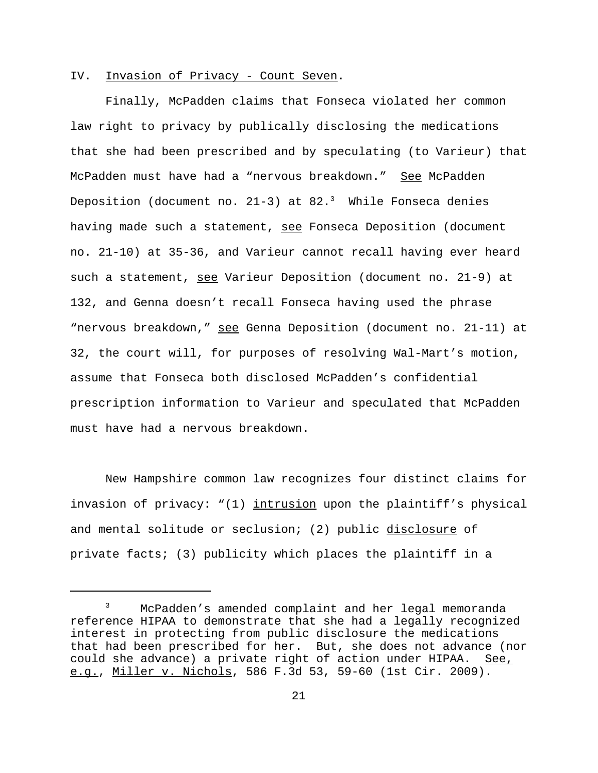# IV. Invasion of Privacy - Count Seven.

Finally, McPadden claims that Fonseca violated her common law right to privacy by publically disclosing the medications that she had been prescribed and by speculating (to Varieur) that McPadden must have had a "nervous breakdown." See McPadden Deposition (document no. 21-3) at  $82.^3$  While Fonseca denies having made such a statement, see Fonseca Deposition (document no. 21-10) at 35-36, and Varieur cannot recall having ever heard such a statement, see Varieur Deposition (document no. 21-9) at 132, and Genna doesn't recall Fonseca having used the phrase "nervous breakdown," see Genna Deposition (document no. 21-11) at 32, the court will, for purposes of resolving Wal-Mart's motion, assume that Fonseca both disclosed McPadden's confidential prescription information to Varieur and speculated that McPadden must have had a nervous breakdown.

New Hampshire common law recognizes four distinct claims for invasion of privacy: "(1) intrusion upon the plaintiff's physical and mental solitude or seclusion; (2) public disclosure of private facts; (3) publicity which places the plaintiff in a

<sup>&</sup>lt;sup>3</sup> McPadden's amended complaint and her legal memoranda reference HIPAA to demonstrate that she had a legally recognized interest in protecting from public disclosure the medications that had been prescribed for her. But, she does not advance (nor could she advance) a private right of action under HIPAA. See, e.g., Miller v. Nichols, 586 F.3d 53, 59-60 (1st Cir. 2009).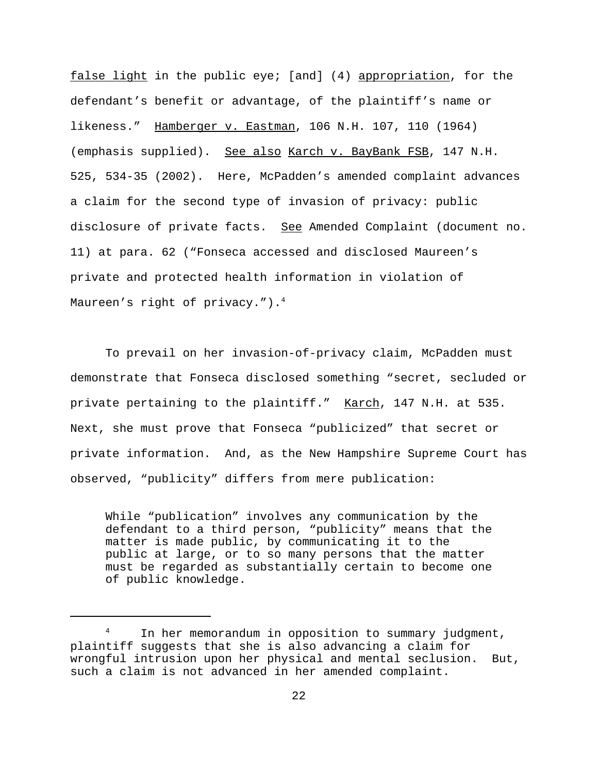false light in the public eye; [and] (4) appropriation, for the defendant's benefit or advantage, of the plaintiff's name or likeness." Hamberger v. Eastman, 106 N.H. 107, 110 (1964) (emphasis supplied). See also Karch v. BayBank FSB, 147 N.H. 525, 534-35 (2002). Here, McPadden's amended complaint advances a claim for the second type of invasion of privacy: public disclosure of private facts. See Amended Complaint (document no. 11) at para. 62 ("Fonseca accessed and disclosed Maureen's private and protected health information in violation of Maureen's right of privacy."). $4$ 

To prevail on her invasion-of-privacy claim, McPadden must demonstrate that Fonseca disclosed something "secret, secluded or private pertaining to the plaintiff." Karch, 147 N.H. at 535. Next, she must prove that Fonseca "publicized" that secret or private information. And, as the New Hampshire Supreme Court has observed, "publicity" differs from mere publication:

While "publication" involves any communication by the defendant to a third person, "publicity" means that the matter is made public, by communicating it to the public at large, or to so many persons that the matter must be regarded as substantially certain to become one of public knowledge.

In her memorandum in opposition to summary judgment, plaintiff suggests that she is also advancing a claim for wrongful intrusion upon her physical and mental seclusion. But, such a claim is not advanced in her amended complaint.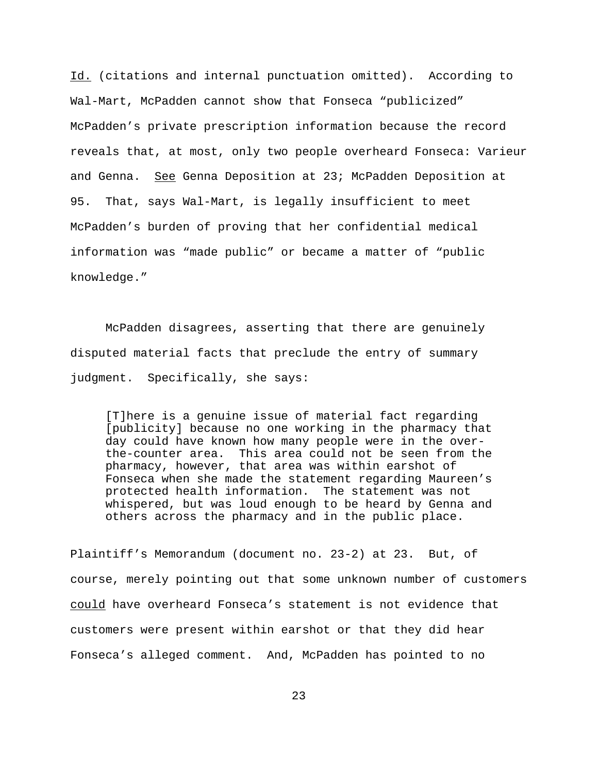Id. (citations and internal punctuation omitted). According to Wal-Mart, McPadden cannot show that Fonseca "publicized" McPadden's private prescription information because the record reveals that, at most, only two people overheard Fonseca: Varieur and Genna. See Genna Deposition at 23; McPadden Deposition at 95. That, says Wal-Mart, is legally insufficient to meet McPadden's burden of proving that her confidential medical information was "made public" or became a matter of "public knowledge."

McPadden disagrees, asserting that there are genuinely disputed material facts that preclude the entry of summary judgment. Specifically, she says:

[T]here is a genuine issue of material fact regarding [publicity] because no one working in the pharmacy that day could have known how many people were in the overthe-counter area. This area could not be seen from the pharmacy, however, that area was within earshot of Fonseca when she made the statement regarding Maureen's protected health information. The statement was not whispered, but was loud enough to be heard by Genna and others across the pharmacy and in the public place.

Plaintiff's Memorandum (document no. 23-2) at 23. But, of course, merely pointing out that some unknown number of customers could have overheard Fonseca's statement is not evidence that customers were present within earshot or that they did hear Fonseca's alleged comment. And, McPadden has pointed to no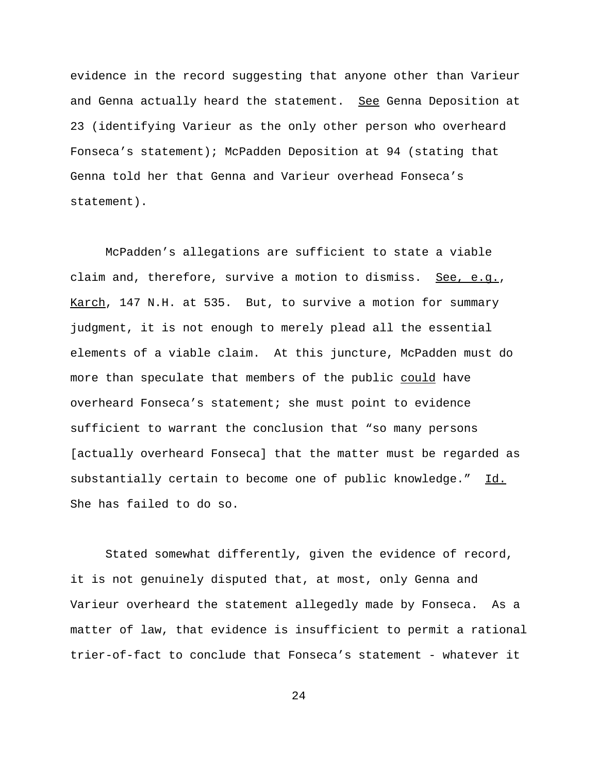evidence in the record suggesting that anyone other than Varieur and Genna actually heard the statement. See Genna Deposition at 23 (identifying Varieur as the only other person who overheard Fonseca's statement); McPadden Deposition at 94 (stating that Genna told her that Genna and Varieur overhead Fonseca's statement).

McPadden's allegations are sufficient to state a viable claim and, therefore, survive a motion to dismiss. See, e.g., Karch, 147 N.H. at 535. But, to survive a motion for summary judgment, it is not enough to merely plead all the essential elements of a viable claim. At this juncture, McPadden must do more than speculate that members of the public could have overheard Fonseca's statement; she must point to evidence sufficient to warrant the conclusion that "so many persons [actually overheard Fonseca] that the matter must be regarded as substantially certain to become one of public knowledge." Id. She has failed to do so.

Stated somewhat differently, given the evidence of record, it is not genuinely disputed that, at most, only Genna and Varieur overheard the statement allegedly made by Fonseca. As a matter of law, that evidence is insufficient to permit a rational trier-of-fact to conclude that Fonseca's statement - whatever it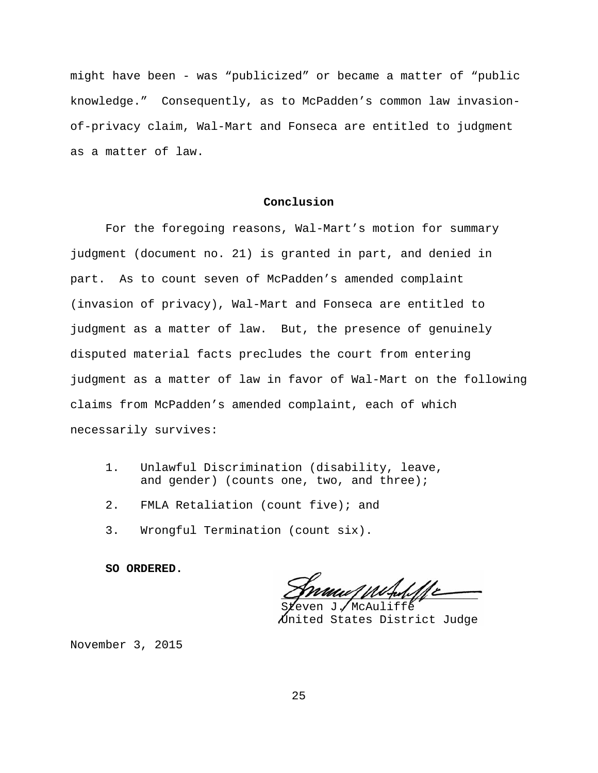might have been - was "publicized" or became a matter of "public knowledge." Consequently, as to McPadden's common law invasionof-privacy claim, Wal-Mart and Fonseca are entitled to judgment as a matter of law.

#### **Conclusion**

For the foregoing reasons, Wal-Mart's motion for summary judgment (document no. 21) is granted in part, and denied in part. As to count seven of McPadden's amended complaint (invasion of privacy), Wal-Mart and Fonseca are entitled to judgment as a matter of law. But, the presence of genuinely disputed material facts precludes the court from entering judgment as a matter of law in favor of Wal-Mart on the following claims from McPadden's amended complaint, each of which necessarily survives:

- 1. Unlawful Discrimination (disability, leave, and gender) (counts one, two, and three);
- 2. FMLA Retaliation (count five); and
- 3. Wrongful Termination (count six).

**SO ORDERED.**

 $C$ *physical purporting*  $C$ 

McAuliffe United States District Judge

November 3, 2015